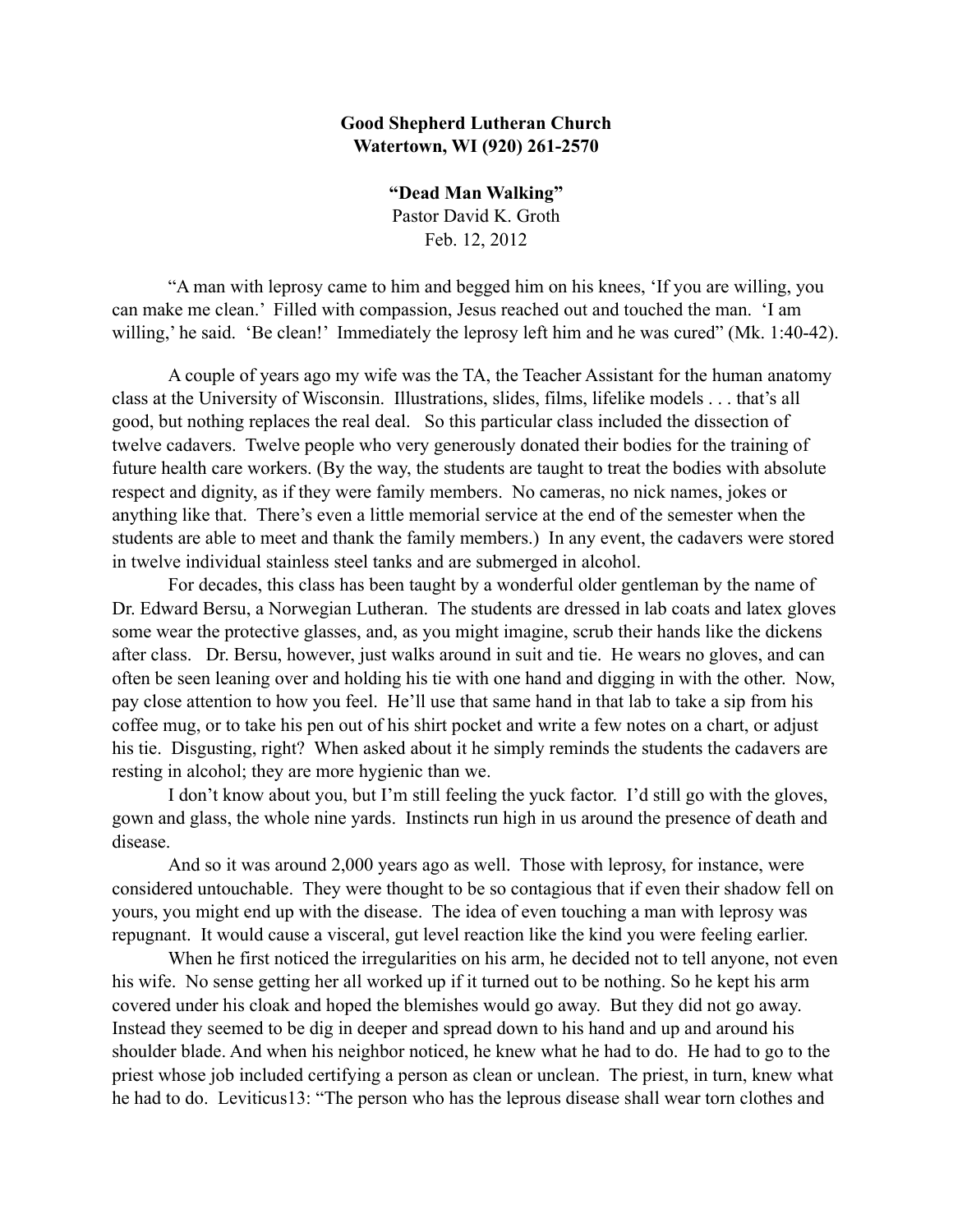## **Good Shepherd Lutheran Church Watertown, WI (920) 261-2570**

**"Dead Man Walking"** Pastor David K. Groth Feb. 12, 2012

"A man with leprosy came to him and begged him on his knees, 'If you are willing, you can make me clean.' Filled with compassion, Jesus reached out and touched the man. 'I am willing,' he said. 'Be clean!' Immediately the leprosy left him and he was cured" (Mk. 1:40-42).

A couple of years ago my wife was the TA, the Teacher Assistant for the human anatomy class at the University of Wisconsin. Illustrations, slides, films, lifelike models . . . that's all good, but nothing replaces the real deal. So this particular class included the dissection of twelve cadavers. Twelve people who very generously donated their bodies for the training of future health care workers. (By the way, the students are taught to treat the bodies with absolute respect and dignity, as if they were family members. No cameras, no nick names, jokes or anything like that. There's even a little memorial service at the end of the semester when the students are able to meet and thank the family members.) In any event, the cadavers were stored in twelve individual stainless steel tanks and are submerged in alcohol.

For decades, this class has been taught by a wonderful older gentleman by the name of Dr. Edward Bersu, a Norwegian Lutheran. The students are dressed in lab coats and latex gloves some wear the protective glasses, and, as you might imagine, scrub their hands like the dickens after class. Dr. Bersu, however, just walks around in suit and tie. He wears no gloves, and can often be seen leaning over and holding his tie with one hand and digging in with the other. Now, pay close attention to how you feel. He'll use that same hand in that lab to take a sip from his coffee mug, or to take his pen out of his shirt pocket and write a few notes on a chart, or adjust his tie. Disgusting, right? When asked about it he simply reminds the students the cadavers are resting in alcohol; they are more hygienic than we.

I don't know about you, but I'm still feeling the yuck factor. I'd still go with the gloves, gown and glass, the whole nine yards. Instincts run high in us around the presence of death and disease.

And so it was around 2,000 years ago as well. Those with leprosy, for instance, were considered untouchable. They were thought to be so contagious that if even their shadow fell on yours, you might end up with the disease. The idea of even touching a man with leprosy was repugnant. It would cause a visceral, gut level reaction like the kind you were feeling earlier.

When he first noticed the irregularities on his arm, he decided not to tell anyone, not even his wife. No sense getting her all worked up if it turned out to be nothing. So he kept his arm covered under his cloak and hoped the blemishes would go away. But they did not go away. Instead they seemed to be dig in deeper and spread down to his hand and up and around his shoulder blade. And when his neighbor noticed, he knew what he had to do. He had to go to the priest whose job included certifying a person as clean or unclean. The priest, in turn, knew what he had to do. Leviticus13: "The person who has the leprous disease shall wear torn clothes and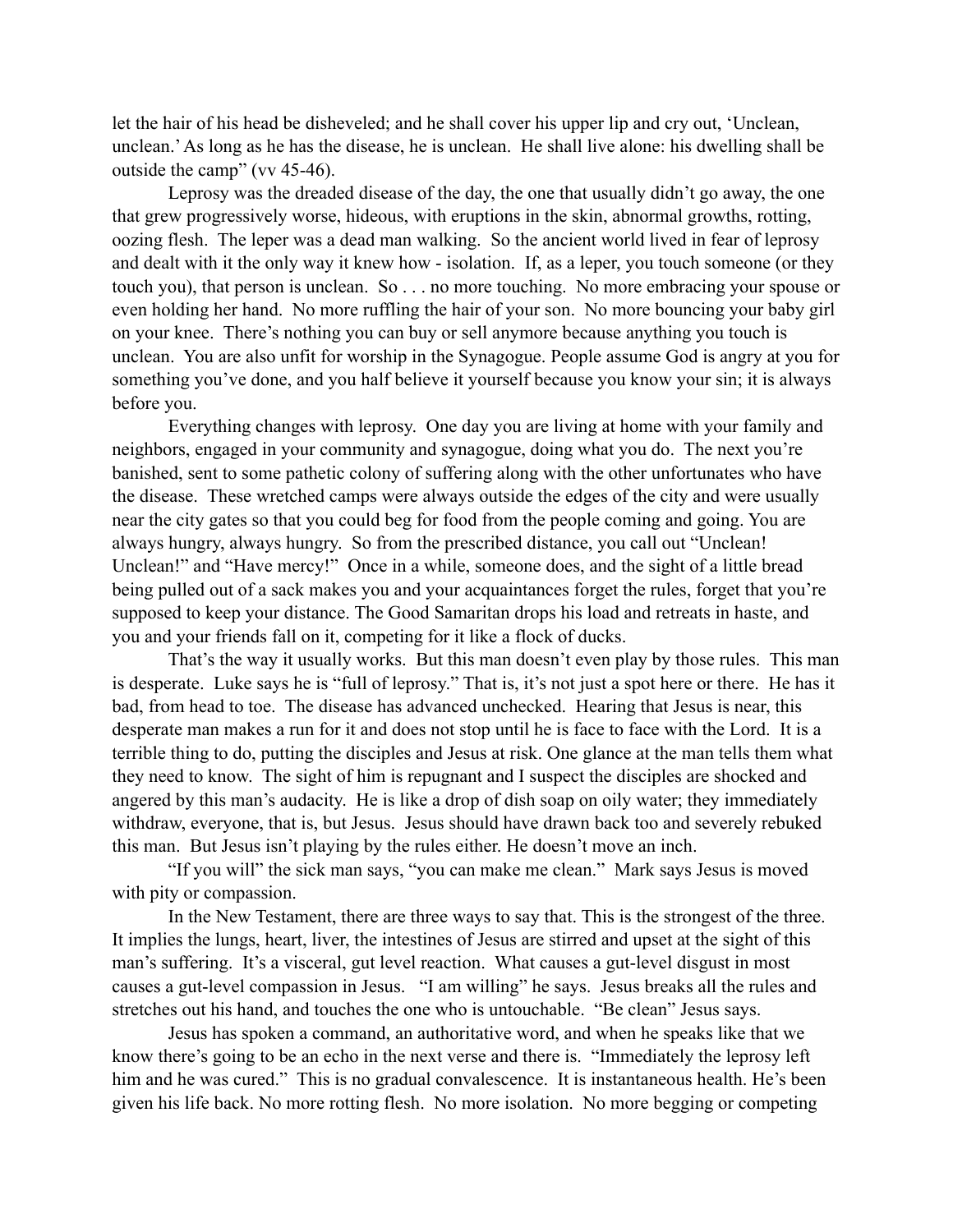let the hair of his head be disheveled; and he shall cover his upper lip and cry out, 'Unclean, unclean.' As long as he has the disease, he is unclean. He shall live alone: his dwelling shall be outside the camp" (vv 45-46).

Leprosy was the dreaded disease of the day, the one that usually didn't go away, the one that grew progressively worse, hideous, with eruptions in the skin, abnormal growths, rotting, oozing flesh. The leper was a dead man walking. So the ancient world lived in fear of leprosy and dealt with it the only way it knew how - isolation. If, as a leper, you touch someone (or they touch you), that person is unclean. So . . . no more touching. No more embracing your spouse or even holding her hand. No more ruffling the hair of your son. No more bouncing your baby girl on your knee. There's nothing you can buy or sell anymore because anything you touch is unclean. You are also unfit for worship in the Synagogue. People assume God is angry at you for something you've done, and you half believe it yourself because you know your sin; it is always before you.

Everything changes with leprosy. One day you are living at home with your family and neighbors, engaged in your community and synagogue, doing what you do. The next you're banished, sent to some pathetic colony of suffering along with the other unfortunates who have the disease. These wretched camps were always outside the edges of the city and were usually near the city gates so that you could beg for food from the people coming and going. You are always hungry, always hungry. So from the prescribed distance, you call out "Unclean! Unclean!" and "Have mercy!" Once in a while, someone does, and the sight of a little bread being pulled out of a sack makes you and your acquaintances forget the rules, forget that you're supposed to keep your distance. The Good Samaritan drops his load and retreats in haste, and you and your friends fall on it, competing for it like a flock of ducks.

That's the way it usually works. But this man doesn't even play by those rules. This man is desperate. Luke says he is "full of leprosy." That is, it's not just a spot here or there. He has it bad, from head to toe. The disease has advanced unchecked. Hearing that Jesus is near, this desperate man makes a run for it and does not stop until he is face to face with the Lord. It is a terrible thing to do, putting the disciples and Jesus at risk. One glance at the man tells them what they need to know. The sight of him is repugnant and I suspect the disciples are shocked and angered by this man's audacity. He is like a drop of dish soap on oily water; they immediately withdraw, everyone, that is, but Jesus. Jesus should have drawn back too and severely rebuked this man. But Jesus isn't playing by the rules either. He doesn't move an inch.

"If you will" the sick man says, "you can make me clean." Mark says Jesus is moved with pity or compassion.

In the New Testament, there are three ways to say that. This is the strongest of the three. It implies the lungs, heart, liver, the intestines of Jesus are stirred and upset at the sight of this man's suffering. It's a visceral, gut level reaction. What causes a gut-level disgust in most causes a gut-level compassion in Jesus. "I am willing" he says. Jesus breaks all the rules and stretches out his hand, and touches the one who is untouchable. "Be clean" Jesus says.

Jesus has spoken a command, an authoritative word, and when he speaks like that we know there's going to be an echo in the next verse and there is. "Immediately the leprosy left him and he was cured." This is no gradual convalescence. It is instantaneous health. He's been given his life back. No more rotting flesh. No more isolation. No more begging or competing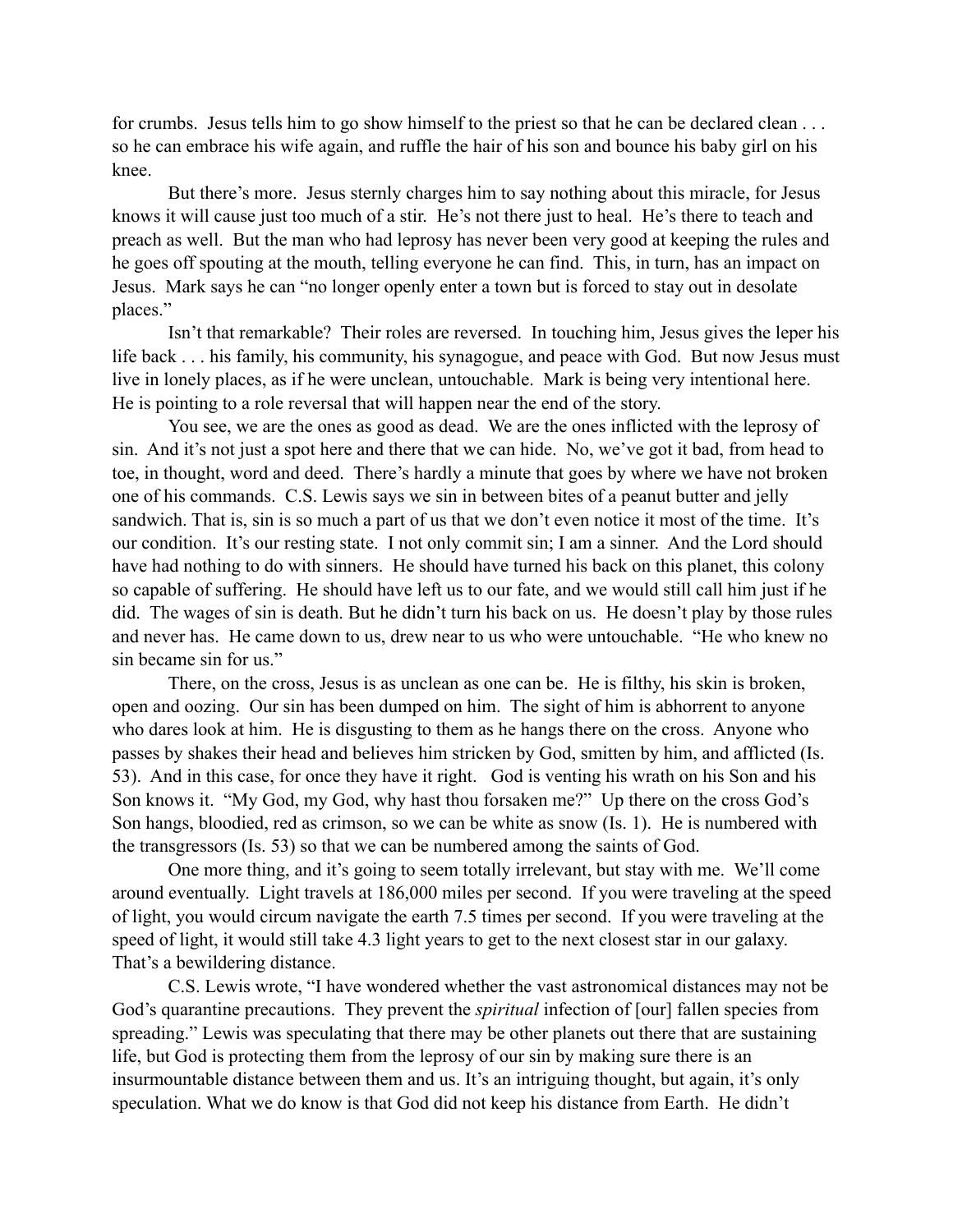for crumbs. Jesus tells him to go show himself to the priest so that he can be declared clean . . . so he can embrace his wife again, and ruffle the hair of his son and bounce his baby girl on his knee.

But there's more. Jesus sternly charges him to say nothing about this miracle, for Jesus knows it will cause just too much of a stir. He's not there just to heal. He's there to teach and preach as well. But the man who had leprosy has never been very good at keeping the rules and he goes off spouting at the mouth, telling everyone he can find. This, in turn, has an impact on Jesus. Mark says he can "no longer openly enter a town but is forced to stay out in desolate places."

Isn't that remarkable? Their roles are reversed. In touching him, Jesus gives the leper his life back . . . his family, his community, his synagogue, and peace with God. But now Jesus must live in lonely places, as if he were unclean, untouchable. Mark is being very intentional here. He is pointing to a role reversal that will happen near the end of the story.

You see, we are the ones as good as dead. We are the ones inflicted with the leprosy of sin. And it's not just a spot here and there that we can hide. No, we've got it bad, from head to toe, in thought, word and deed. There's hardly a minute that goes by where we have not broken one of his commands. C.S. Lewis says we sin in between bites of a peanut butter and jelly sandwich. That is, sin is so much a part of us that we don't even notice it most of the time. It's our condition. It's our resting state. I not only commit sin; I am a sinner. And the Lord should have had nothing to do with sinners. He should have turned his back on this planet, this colony so capable of suffering. He should have left us to our fate, and we would still call him just if he did. The wages of sin is death. But he didn't turn his back on us. He doesn't play by those rules and never has. He came down to us, drew near to us who were untouchable. "He who knew no sin became sin for us."

There, on the cross, Jesus is as unclean as one can be. He is filthy, his skin is broken, open and oozing. Our sin has been dumped on him. The sight of him is abhorrent to anyone who dares look at him. He is disgusting to them as he hangs there on the cross. Anyone who passes by shakes their head and believes him stricken by God, smitten by him, and afflicted (Is. 53). And in this case, for once they have it right. God is venting his wrath on his Son and his Son knows it. "My God, my God, why hast thou forsaken me?" Up there on the cross God's Son hangs, bloodied, red as crimson, so we can be white as snow (Is. 1). He is numbered with the transgressors (Is. 53) so that we can be numbered among the saints of God.

One more thing, and it's going to seem totally irrelevant, but stay with me. We'll come around eventually. Light travels at 186,000 miles per second. If you were traveling at the speed of light, you would circum navigate the earth 7.5 times per second. If you were traveling at the speed of light, it would still take 4.3 light years to get to the next closest star in our galaxy. That's a bewildering distance.

C.S. Lewis wrote, "I have wondered whether the vast astronomical distances may not be God's quarantine precautions. They prevent the *spiritual* infection of [our] fallen species from spreading." Lewis was speculating that there may be other planets out there that are sustaining life, but God is protecting them from the leprosy of our sin by making sure there is an insurmountable distance between them and us. It's an intriguing thought, but again, it's only speculation. What we do know is that God did not keep his distance from Earth. He didn't